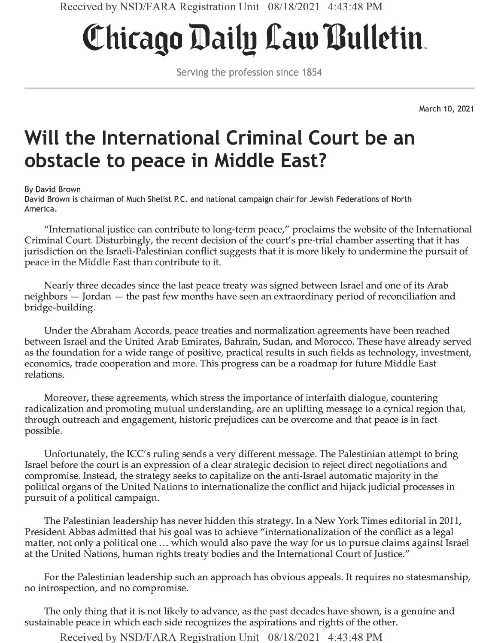## **Chicago Daily Cato Bulletin**

Serving the profession since 1854

March 10, 2021

## **Will the International Criminal Court be an obstacle to peace in Middle East?**

By David Brown

David Brown is chairman of Much Shelist P.C. and national campaign chair for Jewish Federations of North America.

"International justice can contribute to long-term peace/' proclaims the website of the International Criminal Court. Disturbingly, the recent decision of the court's pre-trial chamber asserting that it has jurisdiction on the Israeli-Palestinian conflict suggests that it is more likely to undermine the pursuit of peace in the Middle East than contribute to it.

Nearly three decades since the last peace treaty was signed between Israel and one of its Arab neighbors — Jordan — the past few months have seen an extraordinary period of reconciliation and bridge-building.

Under the Abraham Accords, peace treaties and normalization agreements have been reached between Israel and the United Arab Emirates, Bahrain, Sudan, and Morocco. These have already served as the foundation for a wide range of positive, practical results in such fields as technology, investment, economics, trade cooperation and more. This progress can be a roadmap for future Middle East relations.

Moreover, these agreements, which stress the importance of interfaith dialogue, countering radicalization and promoting mutual understanding, are an uplifting message to a cynical region that, through outreach and engagement, historic prejudices can be overcome and that peace is in fact possible.

Unfortunately, the ICC's ruling sends a very different message. The Palestinian attempt to bring Israel before the court is an expression of a clear strategic decision to reject direct negotiations and compromise. Instead, the strategy seeks to capitalize on the anti-Israel automatic majority in the political organs of the United Nations to internationalize the conflict and hijack judicial processes in pursuit of a political campaign.

The Palestinian leadership has never hidden this strategy. In a New York Times editorial in 2011, President Abbas admitted that his goal was to achieve "internationalization of the conflict as a legal matter, not only a political one ... which would also pave the way for us to pursue claims against Israel at the United Nations, human rights treaty bodies and the International Court of Justice."

For the Palestinian leadership such an approach has obvious appeals. It requires no statesmanship, no introspection, and no compromise.

The only thing that it is not likely to advance, as the past decades have shown, is a genuine and sustainable peace in which each side recognizes the aspirations and rights of the other.

Received by NSD/FARA Registration Unit 08/18/2021 4:43:48 PM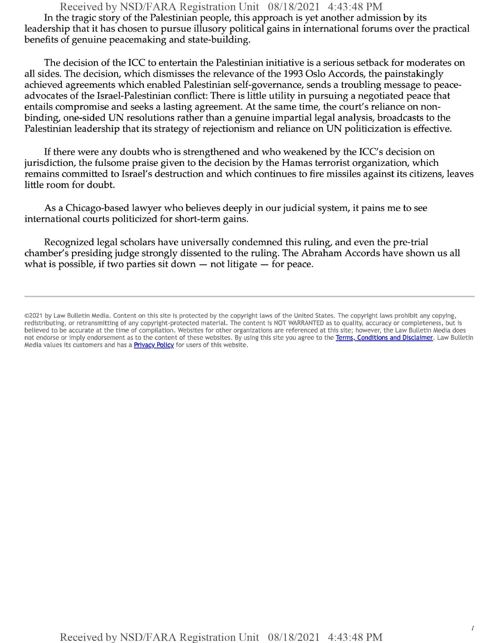Received by NSD/FARA Registration Unit 08/18/2021 4:43:48 PM In the tragic story of the Palestinian people, this approach is yet another admission by its leadership that it has chosen to pursue illusory political gains in international forums over the practical benefits of genuine peacemaking and state-building.

The decision of the ICC to entertain the Palestinian initiative is a serious setback for moderates on all sides. The decision, which dismisses the relevance of the 1993 Oslo Accords, the painstakingly achieved agreements which enabled Palestinian self-governance, sends a troubling message to peaceadvocates of the Israel-Palestinian conflict: There is little utility in pursuing a negotiated peace that entails compromise and seeks a lasting agreement. At the same time, the court's reliance on nonbinding, one-sided UN resolutions rather than a genuine impartial legal analysis, broadcasts to the Palestinian leadership that its strategy of rejectionism and reliance on UN politicization is effective.

If there were any doubts who is strengthened and who weakened by the ICC's decision on jurisdiction, the fulsome praise given to the decision by the Hamas terrorist organization, which remains committed to Israel's destruction and which continues to fire missiles against its citizens, leaves little room for doubt.

As a Chicago-based lawyer who believes deeply in our judicial system, it pains me to see international courts politicized for short-term gains.

Recognized legal scholars have universally condemned this ruling, and even the pre-trial chamber's presiding judge strongly dissented to the ruling. The Abraham Accords have shown us all what is possible, if two parties sit down  $-$  not litigate  $-$  for peace.

<sup>©2021</sup> by Law Bulletin Media. Content on this site is protected by the copyright laws of the United States. The copyright laws prohibit any copying, redistributing, or retransmitting of any copyright-protected material. The content is NOT WARRANTED as to quality, accuracy or completeness, but is believed to be accurate at the time of compilation. Websites for other organizations are referenced at this site; however, the Law Bulletin Media does not endorse or imply endorsement as to the content of these websites. By using this site you agree to the Terms, Conditions and Disclaimer. Law Bulletin Media values its customers and has a **Privacy Policy** for users of this website.